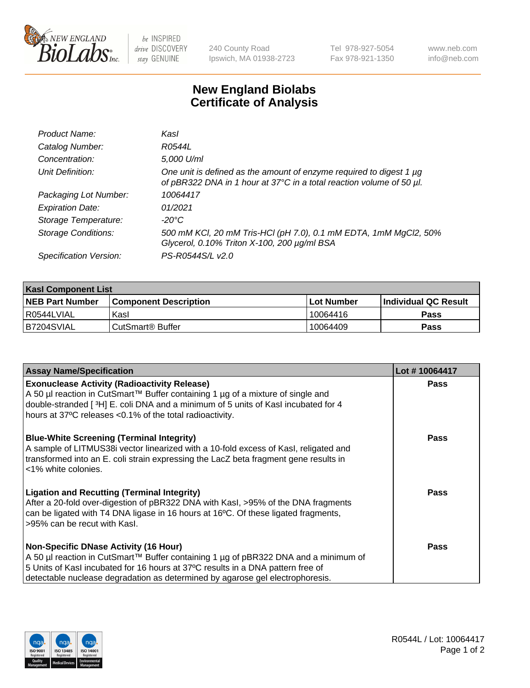

be INSPIRED drive DISCOVERY stay GENUINE

240 County Road Ipswich, MA 01938-2723 Tel 978-927-5054 Fax 978-921-1350

www.neb.com info@neb.com

## **New England Biolabs Certificate of Analysis**

| Product Name:              | Kasl                                                                                                                                             |
|----------------------------|--------------------------------------------------------------------------------------------------------------------------------------------------|
| Catalog Number:            | R0544L                                                                                                                                           |
| Concentration:             | 5,000 U/ml                                                                                                                                       |
| Unit Definition:           | One unit is defined as the amount of enzyme required to digest 1 $\mu$ g<br>of pBR322 DNA in 1 hour at 37°C in a total reaction volume of 50 µl. |
| Packaging Lot Number:      | 10064417                                                                                                                                         |
| <b>Expiration Date:</b>    | 01/2021                                                                                                                                          |
| Storage Temperature:       | -20°C                                                                                                                                            |
| <b>Storage Conditions:</b> | 500 mM KCI, 20 mM Tris-HCI (pH 7.0), 0.1 mM EDTA, 1mM MgCl2, 50%<br>Glycerol, 0.10% Triton X-100, 200 µg/ml BSA                                  |
| Specification Version:     | PS-R0544S/L v2.0                                                                                                                                 |

| <b>Kasl Component List</b> |                              |                   |                             |  |  |
|----------------------------|------------------------------|-------------------|-----------------------------|--|--|
| <b>NEB Part Number</b>     | <b>Component Description</b> | <b>Lot Number</b> | <b>Individual QC Result</b> |  |  |
| R0544LVIAL                 | Kasl                         | 10064416          | Pass                        |  |  |
| B7204SVIAL                 | ' CutSmart® Buffer_          | 10064409          | Pass                        |  |  |

| <b>Assay Name/Specification</b>                                                                                                                                                                                                                                                                         | Lot #10064417 |
|---------------------------------------------------------------------------------------------------------------------------------------------------------------------------------------------------------------------------------------------------------------------------------------------------------|---------------|
| <b>Exonuclease Activity (Radioactivity Release)</b><br>A 50 µl reaction in CutSmart™ Buffer containing 1 µg of a mixture of single and<br>double-stranded [3H] E. coli DNA and a minimum of 5 units of Kasl incubated for 4<br>hours at 37°C releases <0.1% of the total radioactivity.                 | Pass          |
| <b>Blue-White Screening (Terminal Integrity)</b><br>A sample of LITMUS38i vector linearized with a 10-fold excess of Kasl, religated and<br>transformed into an E. coli strain expressing the LacZ beta fragment gene results in<br><1% white colonies.                                                 | Pass          |
| <b>Ligation and Recutting (Terminal Integrity)</b><br>After a 20-fold over-digestion of pBR322 DNA with KasI, >95% of the DNA fragments<br>can be ligated with T4 DNA ligase in 16 hours at 16°C. Of these ligated fragments,<br>>95% can be recut with Kasl.                                           | <b>Pass</b>   |
| <b>Non-Specific DNase Activity (16 Hour)</b><br>A 50 µl reaction in CutSmart™ Buffer containing 1 µg of pBR322 DNA and a minimum of<br>5 Units of Kasl incubated for 16 hours at 37°C results in a DNA pattern free of<br>detectable nuclease degradation as determined by agarose gel electrophoresis. | Pass          |